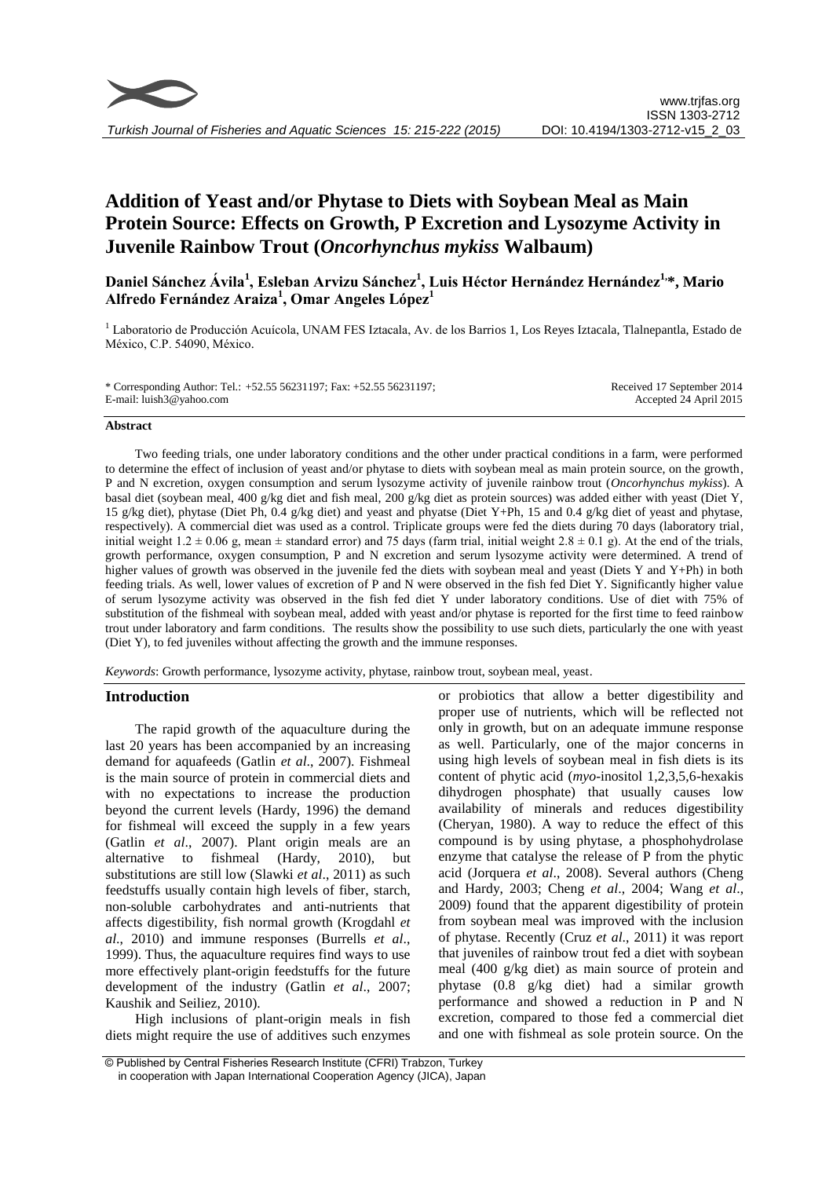

# **Addition of Yeast and/or Phytase to Diets with Soybean Meal as Main Protein Source: Effects on Growth, P Excretion and Lysozyme Activity in Juvenile Rainbow Trout (***Oncorhynchus mykiss* **Walbaum)**

**Daniel Sánchez Ávila<sup>1</sup> , Esleban Arvizu Sánchez<sup>1</sup> , Luis Héctor Hernández Hernández1, \*, Mario Alfredo Fernández Araiza<sup>1</sup> , Omar Angeles López<sup>1</sup>**

<sup>1</sup> Laboratorio de Producción Acuícola, UNAM FES Iztacala, Av. de los Barrios 1, Los Reyes Iztacala, Tlalnepantla, Estado de México, C.P. 54090, México.

| * Corresponding Author: Tel.: +52.55 56231197; Fax: +52.55 56231197; | Received 17 September 2014 |
|----------------------------------------------------------------------|----------------------------|
| E-mail: luish3@yahoo.com                                             | Accepted 24 April 2015     |

#### **Abstract**

Two feeding trials, one under laboratory conditions and the other under practical conditions in a farm, were performed to determine the effect of inclusion of yeast and/or phytase to diets with soybean meal as main protein source, on the growth, P and N excretion, oxygen consumption and serum lysozyme activity of juvenile rainbow trout (*Oncorhynchus mykiss*). A basal diet (soybean meal, 400 g/kg diet and fish meal, 200 g/kg diet as protein sources) was added either with yeast (Diet Y, 15 g/kg diet), phytase (Diet Ph, 0.4 g/kg diet) and yeast and phyatse (Diet Y+Ph, 15 and 0.4 g/kg diet of yeast and phytase, respectively). A commercial diet was used as a control. Triplicate groups were fed the diets during 70 days (laboratory trial, initial weight  $1.2 \pm 0.06$  g, mean  $\pm$  standard error) and 75 days (farm trial, initial weight  $2.8 \pm 0.1$  g). At the end of the trials, growth performance, oxygen consumption, P and N excretion and serum lysozyme activity were determined. A trend of higher values of growth was observed in the juvenile fed the diets with soybean meal and yeast (Diets Y and Y+Ph) in both feeding trials. As well, lower values of excretion of P and N were observed in the fish fed Diet Y. Significantly higher value of serum lysozyme activity was observed in the fish fed diet Y under laboratory conditions. Use of diet with 75% of substitution of the fishmeal with soybean meal, added with yeast and/or phytase is reported for the first time to feed rainbow trout under laboratory and farm conditions. The results show the possibility to use such diets, particularly the one with yeast (Diet Y), to fed juveniles without affecting the growth and the immune responses.

*Keywords*: Growth performance, lysozyme activity, phytase, rainbow trout, soybean meal, yeast.

# **Introduction**

The rapid growth of the aquaculture during the last 20 years has been accompanied by an increasing demand for aquafeeds (Gatlin *et al*., 2007). Fishmeal is the main source of protein in commercial diets and with no expectations to increase the production beyond the current levels (Hardy, 1996) the demand for fishmeal will exceed the supply in a few years (Gatlin *et al*., 2007). Plant origin meals are an alternative to fishmeal (Hardy, 2010), but substitutions are still low (Slawki *et al*., 2011) as such feedstuffs usually contain high levels of fiber, starch, non-soluble carbohydrates and anti-nutrients that affects digestibility, fish normal growth (Krogdahl *et al*., 2010) and immune responses (Burrells *et al*., 1999). Thus, the aquaculture requires find ways to use more effectively plant-origin feedstuffs for the future development of the industry (Gatlin *et al*., 2007; Kaushik and Seiliez, 2010).

High inclusions of plant-origin meals in fish diets might require the use of additives such enzymes or probiotics that allow a better digestibility and proper use of nutrients, which will be reflected not only in growth, but on an adequate immune response as well. Particularly, one of the major concerns in using high levels of soybean meal in fish diets is its content of phytic acid (*myo*-inositol 1,2,3,5,6-hexakis dihydrogen phosphate) that usually causes low availability of minerals and reduces digestibility (Cheryan, 1980). A way to reduce the effect of this compound is by using phytase, a phosphohydrolase enzyme that catalyse the release of P from the phytic acid (Jorquera *et al*., 2008). Several authors (Cheng and Hardy, 2003; Cheng *et al*., 2004; Wang *et al*., 2009) found that the apparent digestibility of protein from soybean meal was improved with the inclusion of phytase. Recently (Cruz *et al*., 2011) it was report that juveniles of rainbow trout fed a diet with soybean meal (400 g/kg diet) as main source of protein and phytase (0.8 g/kg diet) had a similar growth performance and showed a reduction in P and N excretion, compared to those fed a commercial diet and one with fishmeal as sole protein source. On the

<sup>©</sup> Published by Central Fisheries Research Institute (CFRI) Trabzon, Turkey in cooperation with Japan International Cooperation Agency (JICA), Japan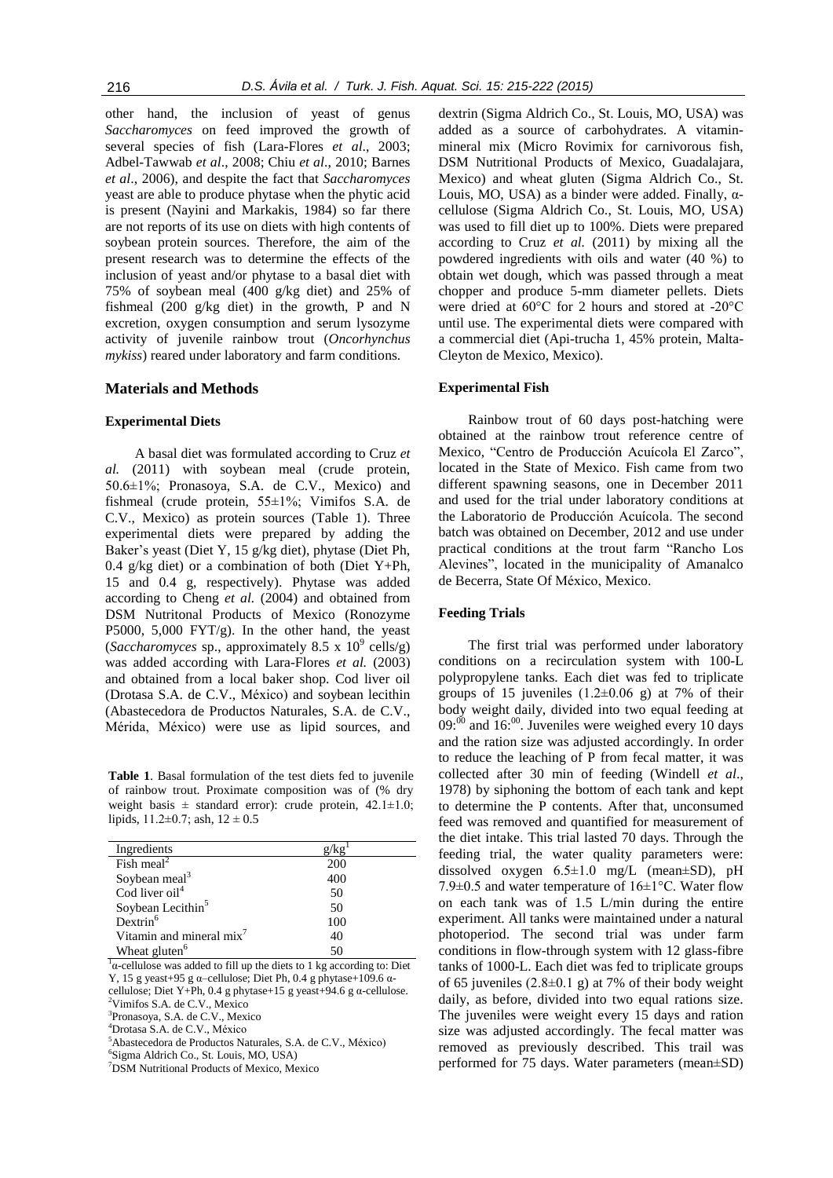other hand, the inclusion of yeast of genus *Saccharomyces* on feed improved the growth of several species of fish (Lara-Flores *et al*., 2003; Adbel-Tawwab *et al*., 2008; Chiu *et al*., 2010; Barnes *et al*., 2006), and despite the fact that *Saccharomyces* yeast are able to produce phytase when the phytic acid is present (Nayini and Markakis, 1984) so far there are not reports of its use on diets with high contents of soybean protein sources. Therefore, the aim of the present research was to determine the effects of the inclusion of yeast and/or phytase to a basal diet with 75% of soybean meal (400 g/kg diet) and 25% of fishmeal (200 g/kg diet) in the growth, P and N excretion, oxygen consumption and serum lysozyme activity of juvenile rainbow trout (*Oncorhynchus mykiss*) reared under laboratory and farm conditions.

# **Materials and Methods**

# **Experimental Diets**

A basal diet was formulated according to Cruz *et al.* (2011) with soybean meal (crude protein, 50.6±1%; Pronasoya, S.A. de C.V., Mexico) and fishmeal (crude protein, 55±1%; Vimifos S.A. de C.V., Mexico) as protein sources (Table 1). Three experimental diets were prepared by adding the Baker's yeast (Diet Y, 15 g/kg diet), phytase (Diet Ph, 0.4 g/kg diet) or a combination of both (Diet Y+Ph, 15 and 0.4 g, respectively). Phytase was added according to Cheng *et al.* (2004) and obtained from DSM Nutritonal Products of Mexico (Ronozyme P5000, 5,000 FYT/g). In the other hand, the yeast (*Saccharomyces* sp., approximately  $8.5 \times 10^9$  cells/g) was added according with Lara-Flores *et al.* (2003) and obtained from a local baker shop. Cod liver oil (Drotasa S.A. de C.V., México) and soybean lecithin (Abastecedora de Productos Naturales, S.A. de C.V., Mérida, México) were use as lipid sources, and

**Table 1**. Basal formulation of the test diets fed to juvenile of rainbow trout. Proximate composition was of (% dry weight basis  $\pm$  standard error): crude protein, 42.1 $\pm$ 1.0; lipids,  $11.2 \pm 0.7$ ; ash,  $12 \pm 0.5$ 

| Ingredients                   |     |
|-------------------------------|-----|
| Fish meal <sup>2</sup>        | 200 |
| Soybean meal <sup>3</sup>     | 400 |
| Cod liver oil <sup>4</sup>    | 50  |
| Soybean Lecithin <sup>5</sup> | 50  |
| $Dextrin^6$                   | 100 |
| Vitamin and mineral mix'      | 40  |
| Wheat gluten <sup>6</sup>     | 50  |

 $\alpha$ -cellulose was added to fill up the diets to 1 kg according to: Diet Y, 15 g yeast+95 g α–cellulose; Diet Ph, 0.4 g phytase+109.6 αcellulose; Diet Y+Ph, 0.4 g phytase+15 g yeast+94.6 g  $\alpha$ -cellulose. <sup>2</sup>Vimifos S.A. de C.V., Mexico

3 Pronasoya, S.A. de C.V., Mexico

<sup>4</sup>Drotasa S.A. de C.V., México

<sup>5</sup>Abastecedora de Productos Naturales, S.A. de C.V., México)

6 Sigma Aldrich Co., St. Louis, MO, USA)

<sup>7</sup>DSM Nutritional Products of Mexico, Mexico

dextrin (Sigma Aldrich Co., St. Louis, MO, USA) was added as a source of carbohydrates. A vitaminmineral mix (Micro Rovimix for carnivorous fish, DSM Nutritional Products of Mexico, Guadalajara, Mexico) and wheat gluten (Sigma Aldrich Co., St. Louis, MO, USA) as a binder were added. Finally,  $α$ cellulose (Sigma Aldrich Co., St. Louis, MO, USA) was used to fill diet up to 100%. Diets were prepared according to Cruz *et al.* (2011) by mixing all the powdered ingredients with oils and water (40 %) to obtain wet dough, which was passed through a meat chopper and produce 5-mm diameter pellets. Diets were dried at 60°C for 2 hours and stored at -20°C until use. The experimental diets were compared with a commercial diet (Api-trucha 1, 45% protein, Malta-Cleyton de Mexico, Mexico).

#### **Experimental Fish**

Rainbow trout of 60 days post-hatching were obtained at the rainbow trout reference centre of Mexico, "Centro de Producción Acuícola El Zarco", located in the State of Mexico. Fish came from two different spawning seasons, one in December 2011 and used for the trial under laboratory conditions at the Laboratorio de Producción Acuícola. The second batch was obtained on December, 2012 and use under practical conditions at the trout farm "Rancho Los Alevines", located in the municipality of Amanalco de Becerra, State Of México, Mexico.

#### **Feeding Trials**

The first trial was performed under laboratory conditions on a recirculation system with 100-L polypropylene tanks. Each diet was fed to triplicate groups of 15 juveniles  $(1.2\pm0.06)$  g) at 7% of their body weight daily, divided into two equal feeding at  $09$ : $^{00}$  and 16: $^{00}$ . Juveniles were weighed every 10 days and the ration size was adjusted accordingly. In order to reduce the leaching of P from fecal matter, it was collected after 30 min of feeding (Windell *et al*., 1978) by siphoning the bottom of each tank and kept to determine the P contents. After that, unconsumed feed was removed and quantified for measurement of the diet intake. This trial lasted 70 days. Through the feeding trial, the water quality parameters were: dissolved oxygen 6.5±1.0 mg/L (mean±SD), pH 7.9 $\pm$ 0.5 and water temperature of 16 $\pm$ 1°C. Water flow on each tank was of 1.5 L/min during the entire experiment. All tanks were maintained under a natural photoperiod. The second trial was under farm conditions in flow-through system with 12 glass-fibre tanks of 1000-L. Each diet was fed to triplicate groups of 65 juveniles  $(2.8\pm0.1 \text{ g})$  at 7% of their body weight daily, as before, divided into two equal rations size. The juveniles were weight every 15 days and ration size was adjusted accordingly. The fecal matter was removed as previously described. This trail was performed for 75 days. Water parameters (mean±SD)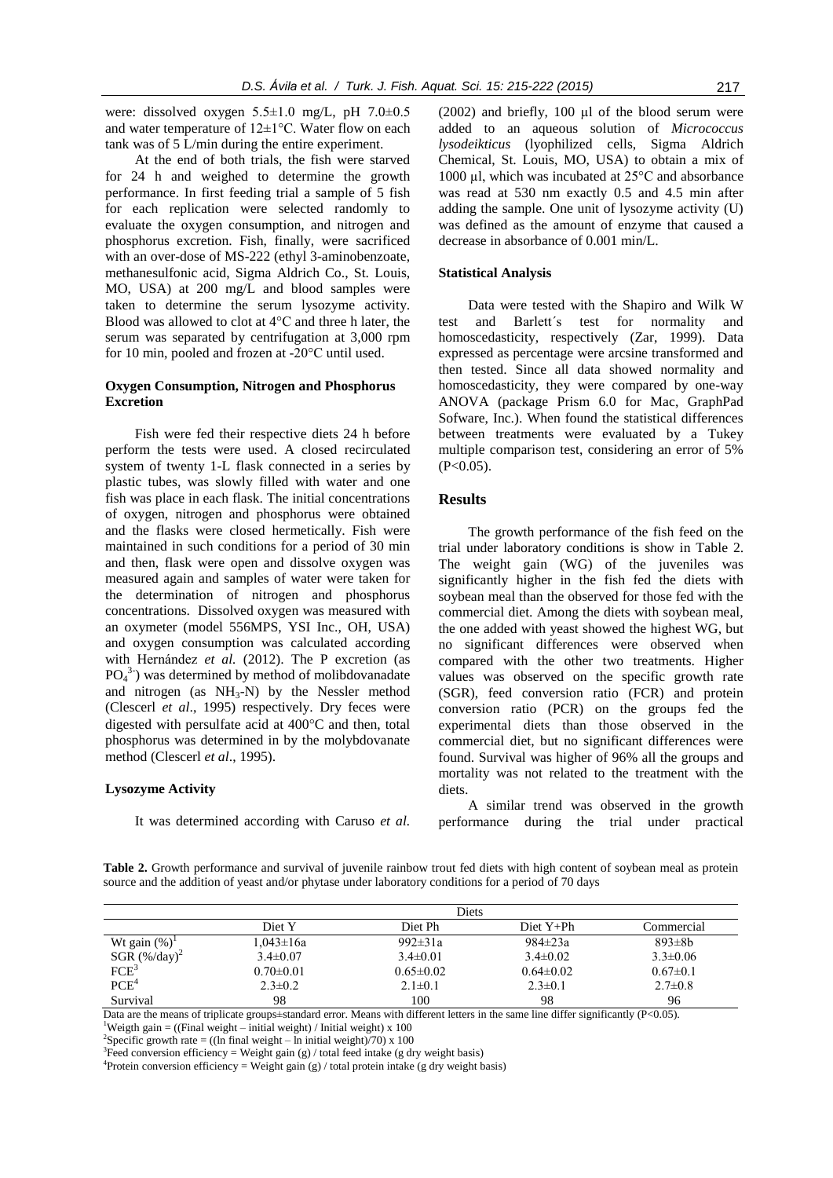were: dissolved oxygen 5.5±1.0 mg/L, pH 7.0±0.5 and water temperature of 12±1°C. Water flow on each tank was of 5 L/min during the entire experiment.

At the end of both trials, the fish were starved for 24 h and weighed to determine the growth performance. In first feeding trial a sample of 5 fish for each replication were selected randomly to evaluate the oxygen consumption, and nitrogen and phosphorus excretion. Fish, finally, were sacrificed with an over-dose of MS-222 (ethyl 3-aminobenzoate, methanesulfonic acid, Sigma Aldrich Co., St. Louis, MO, USA) at 200 mg/L and blood samples were taken to determine the serum lysozyme activity. Blood was allowed to clot at 4°C and three h later, the serum was separated by centrifugation at 3,000 rpm for 10 min, pooled and frozen at -20°C until used.

# **Oxygen Consumption, Nitrogen and Phosphorus Excretion**

Fish were fed their respective diets 24 h before perform the tests were used. A closed recirculated system of twenty 1-L flask connected in a series by plastic tubes, was slowly filled with water and one fish was place in each flask. The initial concentrations of oxygen, nitrogen and phosphorus were obtained and the flasks were closed hermetically. Fish were maintained in such conditions for a period of 30 min and then, flask were open and dissolve oxygen was measured again and samples of water were taken for the determination of nitrogen and phosphorus concentrations. Dissolved oxygen was measured with an oxymeter (model 556MPS, YSI Inc., OH, USA) and oxygen consumption was calculated according with Hernández *et al.* (2012). The P excretion (as  $PO<sub>4</sub><sup>3</sup>$ ) was determined by method of molibdovanadate and nitrogen (as  $NH<sub>3</sub>-N$ ) by the Nessler method (Clescerl *et al*., 1995) respectively. Dry feces were digested with persulfate acid at  $400^{\circ}$ C and then, total phosphorus was determined in by the molybdovanate method (Clescerl *et al*., 1995).

## **Lysozyme Activity**

It was determined according with Caruso *et al.*

(2002) and briefly,  $100 \mu l$  of the blood serum were added to an aqueous solution of *Micrococcus lysodeikticus* (lyophilized cells, Sigma Aldrich Chemical, St. Louis, MO, USA) to obtain a mix of 1000 µl, which was incubated at 25°C and absorbance was read at 530 nm exactly 0.5 and 4.5 min after adding the sample. One unit of lysozyme activity (U) was defined as the amount of enzyme that caused a decrease in absorbance of 0.001 min/L.

#### **Statistical Analysis**

Data were tested with the Shapiro and Wilk W test and Barlett´s test for normality and homoscedasticity, respectively (Zar, 1999). Data expressed as percentage were arcsine transformed and then tested. Since all data showed normality and homoscedasticity, they were compared by one-way ANOVA (package Prism 6.0 for Mac, GraphPad Sofware, Inc.). When found the statistical differences between treatments were evaluated by a Tukey multiple comparison test, considering an error of 5%  $(P<0.05)$ .

## **Results**

The growth performance of the fish feed on the trial under laboratory conditions is show in Table 2. The weight gain (WG) of the juveniles was significantly higher in the fish fed the diets with soybean meal than the observed for those fed with the commercial diet. Among the diets with soybean meal, the one added with yeast showed the highest WG, but no significant differences were observed when compared with the other two treatments. Higher values was observed on the specific growth rate (SGR), feed conversion ratio (FCR) and protein conversion ratio (PCR) on the groups fed the experimental diets than those observed in the commercial diet, but no significant differences were found. Survival was higher of 96% all the groups and mortality was not related to the treatment with the diets.

A similar trend was observed in the growth performance during the trial under practical

**Table 2.** Growth performance and survival of juvenile rainbow trout fed diets with high content of soybean meal as protein source and the addition of yeast and/or phytase under laboratory conditions for a period of 70 days

|                                        | Diets           |                 |                 |                |
|----------------------------------------|-----------------|-----------------|-----------------|----------------|
|                                        | Diet Y          | Diet Ph         | $Diet Y+Ph$     | Commercial     |
| Wt gain $(\%)^1$                       | $1.043 \pm 16a$ | $992 \pm 31a$   | $984 \pm 23a$   | $893\pm8h$     |
| $SGR (\% / day)^2$<br>FCE <sup>3</sup> | $3.4 \pm 0.07$  | $3.4\pm 0.01$   | $3.4 \pm 0.02$  | $3.3 \pm 0.06$ |
|                                        | $0.70 \pm 0.01$ | $0.65 \pm 0.02$ | $0.64 \pm 0.02$ | $0.67 \pm 0.1$ |
| PCE <sup>4</sup>                       | $2.3 \pm 0.2$   | $2.1 \pm 0.1$   | $2.3 \pm 0.1$   | $2.7 \pm 0.8$  |
| Survival                               | 98              | 100             | 98              | 96             |

Data are the means of triplicate groups±standard error. Means with different letters in the same line differ significantly (P<0.05). <sup>1</sup>Weigth gain = ((Final weight – initial weight) / Initial weight) x 100

<sup>2</sup>Specific growth rate = ((ln final weight – ln initial weight)/70) x 100

<sup>3</sup>Feed conversion efficiency = Weight gain (g) / total feed intake (g dry weight basis)

<sup>4</sup>Protein conversion efficiency = Weight gain (g) / total protein intake (g dry weight basis)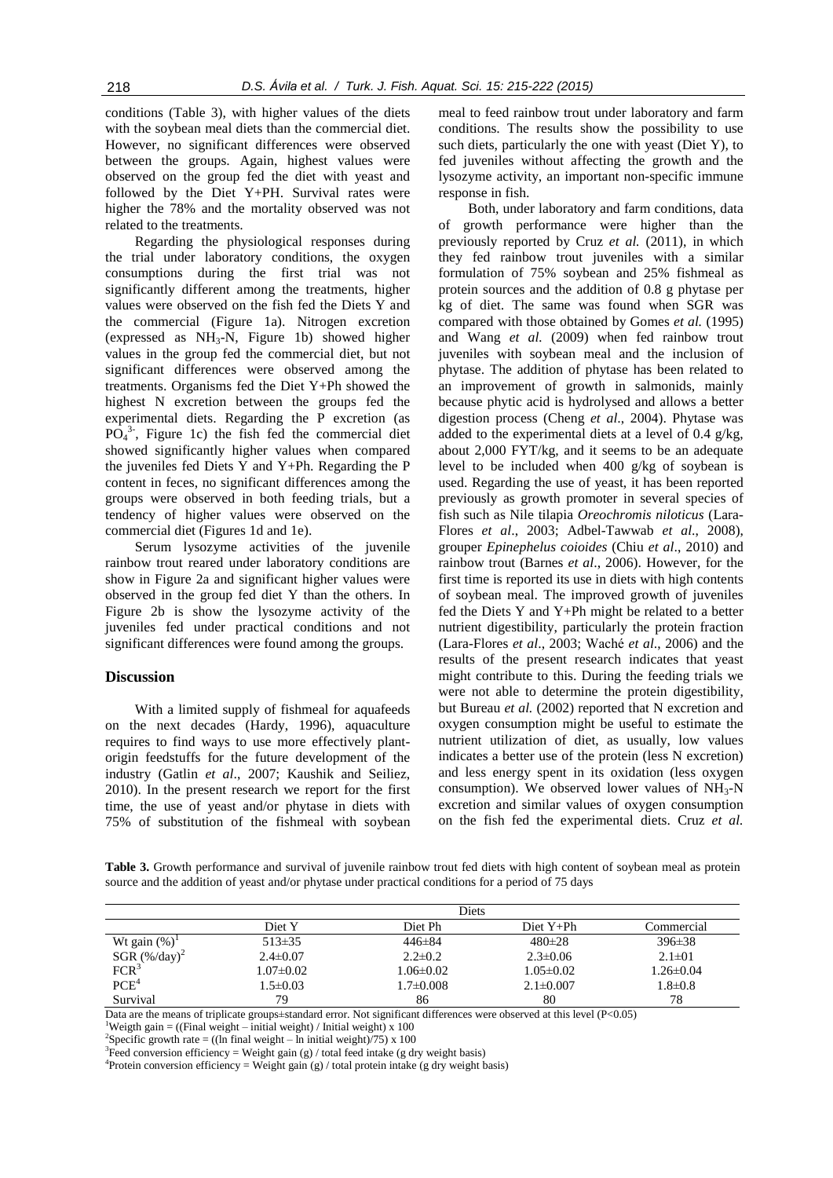conditions (Table 3), with higher values of the diets with the soybean meal diets than the commercial diet. However, no significant differences were observed between the groups. Again, highest values were observed on the group fed the diet with yeast and followed by the Diet Y+PH. Survival rates were higher the 78% and the mortality observed was not related to the treatments.

Regarding the physiological responses during the trial under laboratory conditions, the oxygen consumptions during the first trial was not significantly different among the treatments, higher values were observed on the fish fed the Diets Y and the commercial (Figure 1a). Nitrogen excretion (expressed as  $NH_3-N$ , Figure 1b) showed higher values in the group fed the commercial diet, but not significant differences were observed among the treatments. Organisms fed the Diet Y+Ph showed the highest N excretion between the groups fed the experimental diets. Regarding the P excretion (as  $\overline{PO_4}^{3.}$ , Figure 1c) the fish fed the commercial diet showed significantly higher values when compared the juveniles fed Diets Y and Y+Ph. Regarding the P content in feces, no significant differences among the groups were observed in both feeding trials, but a tendency of higher values were observed on the commercial diet (Figures 1d and 1e).

Serum lysozyme activities of the juvenile rainbow trout reared under laboratory conditions are show in Figure 2a and significant higher values were observed in the group fed diet Y than the others. In Figure 2b is show the lysozyme activity of the juveniles fed under practical conditions and not significant differences were found among the groups.

# **Discussion**

With a limited supply of fishmeal for aquafeeds on the next decades (Hardy, 1996), aquaculture requires to find ways to use more effectively plantorigin feedstuffs for the future development of the industry (Gatlin *et al*., 2007; Kaushik and Seiliez, 2010). In the present research we report for the first time, the use of yeast and/or phytase in diets with 75% of substitution of the fishmeal with soybean

meal to feed rainbow trout under laboratory and farm conditions. The results show the possibility to use such diets, particularly the one with yeast (Diet Y), to fed juveniles without affecting the growth and the lysozyme activity, an important non-specific immune response in fish.

Both, under laboratory and farm conditions, data of growth performance were higher than the previously reported by Cruz *et al.* (2011), in which they fed rainbow trout juveniles with a similar formulation of 75% soybean and 25% fishmeal as protein sources and the addition of 0.8 g phytase per kg of diet. The same was found when SGR was compared with those obtained by Gomes *et al.* (1995) and Wang *et al.* (2009) when fed rainbow trout juveniles with soybean meal and the inclusion of phytase. The addition of phytase has been related to an improvement of growth in salmonids, mainly because phytic acid is hydrolysed and allows a better digestion process (Cheng *et al*., 2004). Phytase was added to the experimental diets at a level of  $0.4 \text{ g/kg}$ , about 2,000 FYT/kg, and it seems to be an adequate level to be included when 400 g/kg of soybean is used. Regarding the use of yeast, it has been reported previously as growth promoter in several species of fish such as Nile tilapia *Oreochromis niloticus* (Lara-Flores *et al*., 2003; Adbel-Tawwab *et al*., 2008), grouper *Epinephelus coioides* (Chiu *et al*., 2010) and rainbow trout (Barnes *et al*., 2006). However, for the first time is reported its use in diets with high contents of soybean meal. The improved growth of juveniles fed the Diets Y and Y+Ph might be related to a better nutrient digestibility, particularly the protein fraction (Lara-Flores *et al*., 2003; Waché *et al*., 2006) and the results of the present research indicates that yeast might contribute to this. During the feeding trials we were not able to determine the protein digestibility, but Bureau *et al.* (2002) reported that N excretion and oxygen consumption might be useful to estimate the nutrient utilization of diet, as usually, low values indicates a better use of the protein (less N excretion) and less energy spent in its oxidation (less oxygen consumption). We observed lower values of  $NH<sub>3</sub>-N$ excretion and similar values of oxygen consumption on the fish fed the experimental diets. Cruz *et al.*

**Table 3.** Growth performance and survival of juvenile rainbow trout fed diets with high content of soybean meal as protein source and the addition of yeast and/or phytase under practical conditions for a period of 75 days

|                                                | Diets           |                 |                 |                 |
|------------------------------------------------|-----------------|-----------------|-----------------|-----------------|
|                                                | Diet Y          | Diet Ph         | $Diet Y+Ph$     | Commercial      |
| Wt gain $(\%)^1$                               | $513\pm35$      | $446 \pm 84$    | $480 \pm 28$    | $396 \pm 38$    |
| $SGR$ (%/day) <sup>2</sup><br>FCR <sup>3</sup> | $2.4 \pm 0.07$  | $2.2 \pm 0.2$   | $2.3 \pm 0.06$  | $2.1 \pm 0.1$   |
|                                                | $1.07 \pm 0.02$ | $1.06 \pm 0.02$ | $1.05 \pm 0.02$ | $1.26 \pm 0.04$ |
| PCE <sup>4</sup>                               | $1.5 \pm 0.03$  | $1.7 \pm 0.008$ | $2.1 \pm 0.007$ | $1.8 \pm 0.8$   |
| Survival                                       | 79              | 86              | 80              | 78              |

Data are the means of triplicate groups $\pm$ standard error. Not significant differences were observed at this level (P<0.05)

<sup>1</sup>Weigth gain = ((Final weight – initial weight) / Initial weight) x 100

<sup>3</sup>Feed conversion efficiency = Weight gain (g) / total feed intake (g dry weight basis)

<sup>4</sup>Protein conversion efficiency = Weight gain (g) / total protein intake (g dry weight basis)

<sup>&</sup>lt;sup>2</sup>Specific growth rate = ((ln final weight – ln initial weight)/75) x 100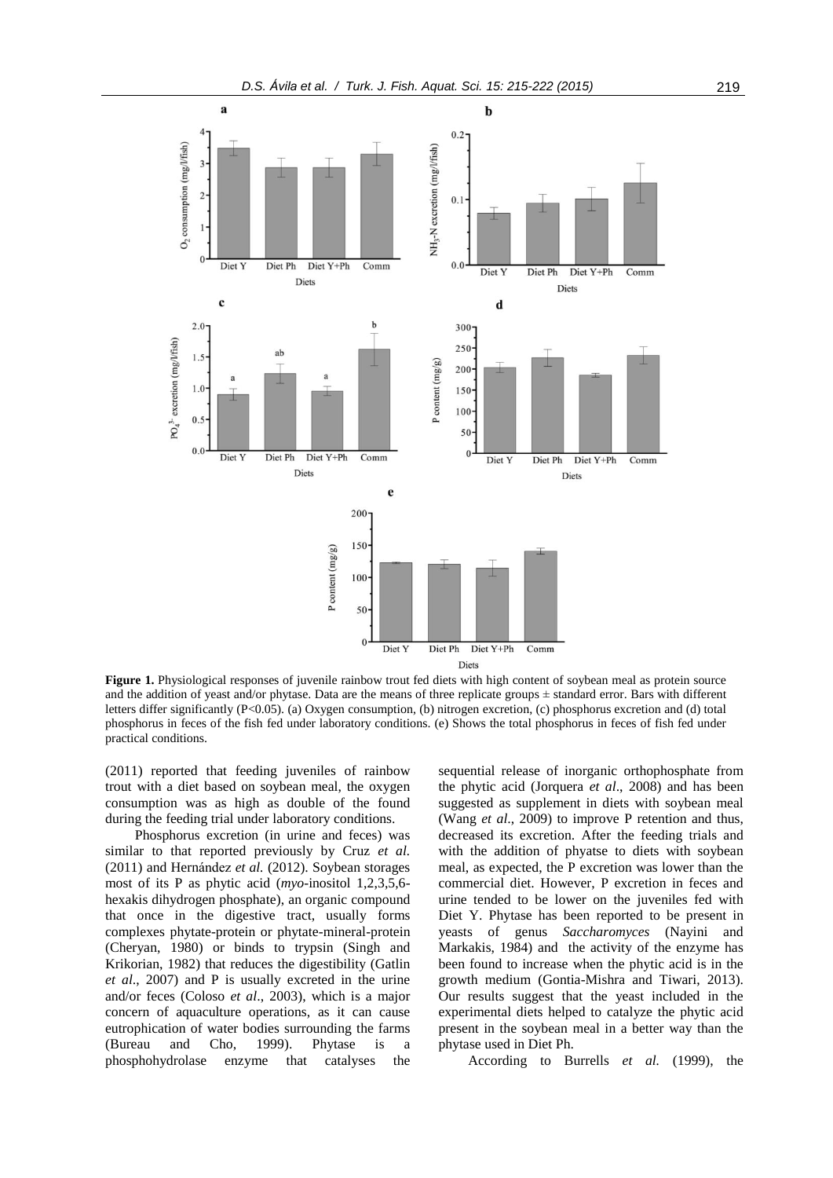

**Figure 1.** Physiological responses of juvenile rainbow trout fed diets with high content of soybean meal as protein source and the addition of yeast and/or phytase. Data are the means of three replicate groups  $\pm$  standard error. Bars with different letters differ significantly (P<0.05). (a) Oxygen consumption, (b) nitrogen excretion, (c) phosphorus excretion and (d) total phosphorus in feces of the fish fed under laboratory conditions. (e) Shows the total phosphorus in feces of fish fed under practical conditions.

(2011) reported that feeding juveniles of rainbow trout with a diet based on soybean meal, the oxygen consumption was as high as double of the found during the feeding trial under laboratory conditions.

Phosphorus excretion (in urine and feces) was similar to that reported previously by Cruz *et al.* (2011) and Hernández *et al.* (2012). Soybean storages most of its P as phytic acid (*myo*-inositol 1,2,3,5,6 hexakis dihydrogen phosphate), an organic compound that once in the digestive tract, usually forms complexes phytate-protein or phytate-mineral-protein (Cheryan, 1980) or binds to trypsin (Singh and Krikorian, 1982) that reduces the digestibility (Gatlin *et al*., 2007) and P is usually excreted in the urine and/or feces (Coloso *et al*., 2003), which is a major concern of aquaculture operations, as it can cause eutrophication of water bodies surrounding the farms (Bureau and Cho, 1999). Phytase is a phosphohydrolase enzyme that catalyses the

sequential release of inorganic orthophosphate from the phytic acid (Jorquera *et al*., 2008) and has been suggested as supplement in diets with soybean meal (Wang *et al*., 2009) to improve P retention and thus, decreased its excretion. After the feeding trials and with the addition of phyatse to diets with soybean meal, as expected, the P excretion was lower than the commercial diet. However, P excretion in feces and urine tended to be lower on the juveniles fed with Diet Y. Phytase has been reported to be present in yeasts of genus *Saccharomyces* (Nayini and Markakis, 1984) and the activity of the enzyme has been found to increase when the phytic acid is in the growth medium (Gontia-Mishra and Tiwari, 2013). Our results suggest that the yeast included in the experimental diets helped to catalyze the phytic acid present in the soybean meal in a better way than the phytase used in Diet Ph.

According to Burrells *et al.* (1999), the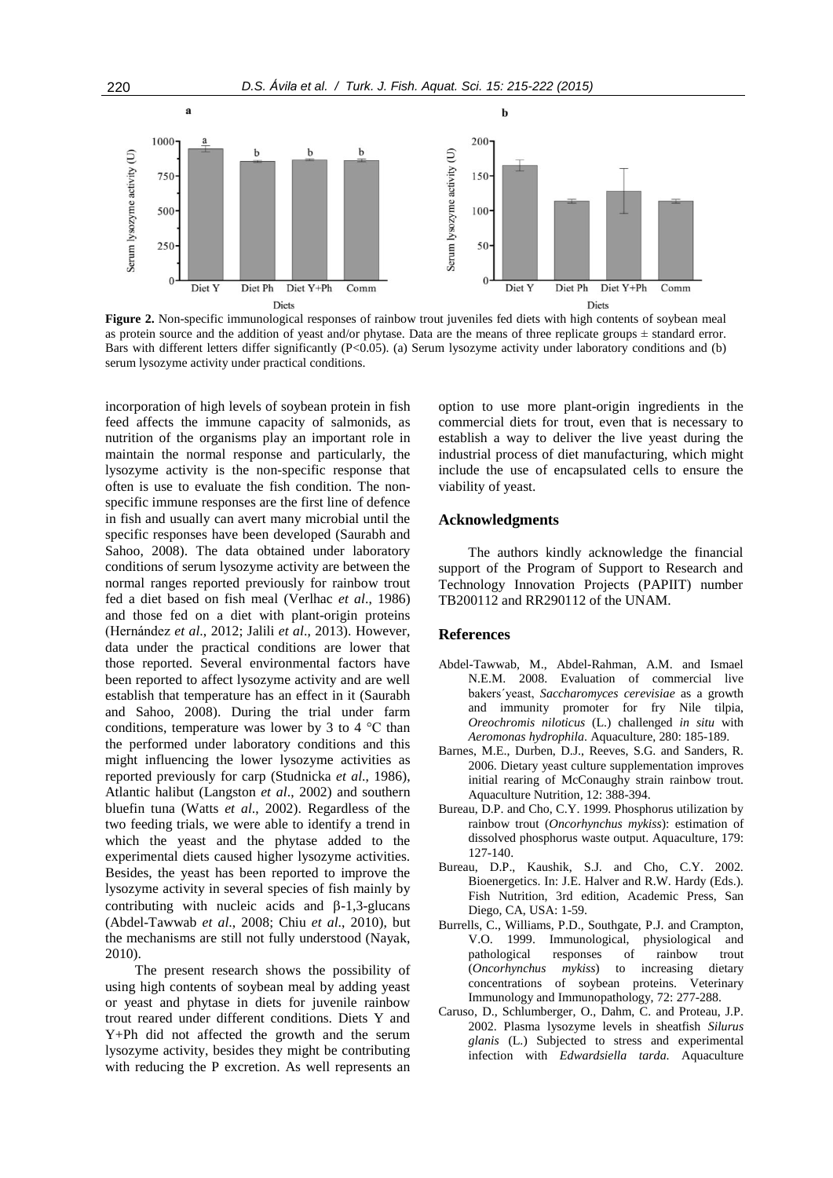

**Figure 2.** Non-specific immunological responses of rainbow trout juveniles fed diets with high contents of soybean meal as protein source and the addition of yeast and/or phytase. Data are the means of three replicate groups  $\pm$  standard error. Bars with different letters differ significantly (P<0.05). (a) Serum lysozyme activity under laboratory conditions and (b) serum lysozyme activity under practical conditions.

incorporation of high levels of soybean protein in fish feed affects the immune capacity of salmonids, as nutrition of the organisms play an important role in maintain the normal response and particularly, the lysozyme activity is the non-specific response that often is use to evaluate the fish condition. The nonspecific immune responses are the first line of defence in fish and usually can avert many microbial until the specific responses have been developed (Saurabh and Sahoo, 2008). The data obtained under laboratory conditions of serum lysozyme activity are between the normal ranges reported previously for rainbow trout fed a diet based on fish meal (Verlhac *et al*., 1986) and those fed on a diet with plant-origin proteins (Hernández *et al*., 2012; Jalili *et al*., 2013). However, data under the practical conditions are lower that those reported. Several environmental factors have been reported to affect lysozyme activity and are well establish that temperature has an effect in it (Saurabh and Sahoo, 2008). During the trial under farm conditions, temperature was lower by 3 to 4 °C than the performed under laboratory conditions and this might influencing the lower lysozyme activities as reported previously for carp (Studnicka *et al*., 1986), Atlantic halibut (Langston *et al*., 2002) and southern bluefin tuna (Watts *et al*., 2002). Regardless of the two feeding trials, we were able to identify a trend in which the yeast and the phytase added to the experimental diets caused higher lysozyme activities. Besides, the yeast has been reported to improve the lysozyme activity in several species of fish mainly by contributing with nucleic acids and  $\beta$ -1,3-glucans (Abdel-Tawwab *et al*., 2008; Chiu *et al*., 2010), but the mechanisms are still not fully understood (Nayak, 2010).

The present research shows the possibility of using high contents of soybean meal by adding yeast or yeast and phytase in diets for juvenile rainbow trout reared under different conditions. Diets Y and Y+Ph did not affected the growth and the serum lysozyme activity, besides they might be contributing with reducing the P excretion. As well represents an

option to use more plant-origin ingredients in the commercial diets for trout, even that is necessary to establish a way to deliver the live yeast during the industrial process of diet manufacturing, which might include the use of encapsulated cells to ensure the viability of yeast.

## **Acknowledgments**

The authors kindly acknowledge the financial support of the Program of Support to Research and Technology Innovation Projects (PAPIIT) number TB200112 and RR290112 of the UNAM.

## **References**

- Abdel-Tawwab, M., Abdel-Rahman, A.M. and Ismael N.E.M. 2008. Evaluation of commercial live bakers´yeast, *Saccharomyces cerevisiae* as a growth and immunity promoter for fry Nile tilpia, *Oreochromis niloticus* (L.) challenged *in situ* with *Aeromonas hydrophila*. Aquaculture, 280: 185-189.
- Barnes, M.E., Durben, D.J., Reeves, S.G. and Sanders, R. 2006. Dietary yeast culture supplementation improves initial rearing of McConaughy strain rainbow trout. Aquaculture Nutrition*,* 12: 388-394.
- Bureau, D.P. and Cho, C.Y. 1999. Phosphorus utilization by rainbow trout (*Oncorhynchus mykiss*): estimation of dissolved phosphorus waste output. Aquaculture, 179: 127-140.
- Bureau, D.P., Kaushik, S.J. and Cho, C.Y. 2002. Bioenergetics. In: J.E. Halver and R.W. Hardy (Eds.). Fish Nutrition, 3rd edition, Academic Press, San Diego, CA, USA: 1-59.
- Burrells, C., Williams, P.D., Southgate, P.J. and Crampton, V.O. 1999. Immunological, physiological and pathological responses of rainbow trout (*Oncorhynchus mykiss*) to increasing dietary concentrations of soybean proteins. Veterinary Immunology and Immunopathology, 72: 277-288.
- Caruso, D., Schlumberger, O., Dahm, C. and Proteau, J.P. 2002. Plasma lysozyme levels in sheatfish *Silurus glanis* (L.) Subjected to stress and experimental infection with *Edwardsiella tarda*. Aquaculture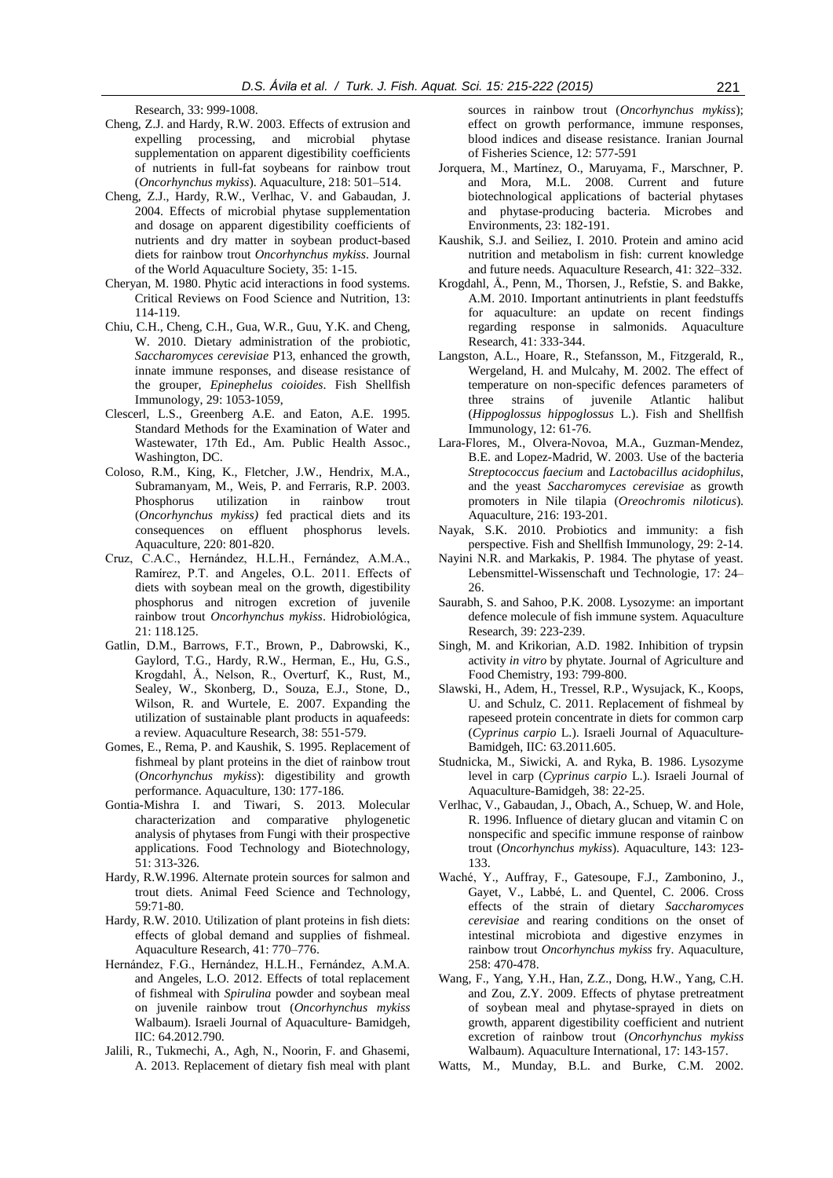Research*,* 33: 999-1008.

- Cheng, Z.J. and Hardy, R.W. 2003. Effects of extrusion and expelling processing, and microbial phytase supplementation on apparent digestibility coefficients of nutrients in full-fat soybeans for rainbow trout (*Oncorhynchus mykiss*). Aquaculture, 218: 501–514.
- Cheng, Z.J., Hardy, R.W., Verlhac, V. and Gabaudan, J. 2004. Effects of microbial phytase supplementation and dosage on apparent digestibility coefficients of nutrients and dry matter in soybean product-based diets for rainbow trout *Oncorhynchus mykiss*. Journal of the World Aquaculture Society, 35: 1-15.
- Cheryan, M. 1980. Phytic acid interactions in food systems. Critical Reviews on Food Science and Nutrition, 13: 114-119.
- Chiu, C.H., Cheng, C.H., Gua, W.R., Guu, Y.K. and Cheng, W. 2010. Dietary administration of the probiotic, *Saccharomyces cerevisiae* P13, enhanced the growth, innate immune responses, and disease resistance of the grouper, *Epinephelus coioides*. Fish Shellfish Immunology, 29: 1053-1059,
- Clescerl, L.S., Greenberg A.E. and Eaton, A.E. 1995. Standard Methods for the Examination of Water and Wastewater, 17th Ed., Am. Public Health Assoc., Washington, DC.
- Coloso, R.M., King, K., Fletcher, J.W., Hendrix, M.A., Subramanyam, M., Weis, P. and Ferraris, R.P. 2003. Phosphorus utilization in rainbow trout (*Oncorhynchus mykiss)* fed practical diets and its consequences on effluent phosphorus levels. Aquaculture, 220: 801-820.
- Cruz, C.A.C., Hernández, H.L.H., Fernández, A.M.A., Ramírez, P.T. and Angeles, O.L. 2011. Effects of diets with soybean meal on the growth, digestibility phosphorus and nitrogen excretion of juvenile rainbow trout *Oncorhynchus mykiss*. Hidrobiológica, 21: 118.125.
- Gatlin, D.M., Barrows, F.T., Brown, P., Dabrowski, K., Gaylord, T.G., Hardy, R.W., Herman, E., Hu, G.S., Krogdahl, Å., Nelson, R., Overturf, K., Rust, M., Sealey, W., Skonberg, D., Souza, E.J., Stone, D., Wilson, R. and Wurtele, E. 2007. Expanding the utilization of sustainable plant products in aquafeeds: a review. Aquaculture Research, 38: 551-579.
- Gomes, E., Rema, P. and Kaushik, S. 1995. Replacement of fishmeal by plant proteins in the diet of rainbow trout (*Oncorhynchus mykiss*): digestibility and growth performance. Aquaculture, 130: 177-186.
- Gontia-Mishra I. and Tiwari, S. 2013. Molecular characterization and comparative phylogenetic analysis of phytases from Fungi with their prospective applications. Food Technology and Biotechnology, 51: 313-326.
- Hardy, R.W.1996. Alternate protein sources for salmon and trout diets. Animal Feed Science and Technology, 59:71-80.
- Hardy, R.W. 2010. Utilization of plant proteins in fish diets: effects of global demand and supplies of fishmeal. Aquaculture Research, 41: 770–776.
- Hernández, F.G., Hernández, H.L.H., Fernández, A.M.A. and Angeles, L.O. 2012. Effects of total replacement of fishmeal with *Spirulina* powder and soybean meal on juvenile rainbow trout (*Oncorhynchus mykiss* Walbaum). Israeli Journal of Aquaculture- Bamidgeh, IIC: 64.2012.790.
- Jalili, R., Tukmechi, A., Agh, N., Noorin, F. and Ghasemi, A. 2013. Replacement of dietary fish meal with plant

sources in rainbow trout (*Oncorhynchus mykiss*); effect on growth performance, immune responses, blood indices and disease resistance. Iranian Journal of Fisheries Science*,* 12: 577-591

- Jorquera, M., Martínez, O., Maruyama, F., Marschner, P. and Mora, M.L. 2008. Current and future biotechnological applications of bacterial phytases and phytase-producing bacteria. Microbes and Environments, 23: 182-191.
- Kaushik, S.J. and Seiliez, I. 2010. Protein and amino acid nutrition and metabolism in fish: current knowledge and future needs. Aquaculture Research, 41: 322–332.
- Krogdahl, Å., Penn, M., Thorsen, J., Refstie, S. and Bakke, A.M. 2010. Important antinutrients in plant feedstuffs for aquaculture: an update on recent findings regarding response in salmonids. Aquaculture Research, 41: 333-344.
- Langston, A.L., Hoare, R., Stefansson, M., Fitzgerald, R., Wergeland, H. and Mulcahy, M. 2002. The effect of temperature on non-specific defences parameters of three strains of juvenile Atlantic halibut (*Hippoglossus hippoglossus* L.). Fish and Shellfish Immunology, 12: 61-76.
- Lara-Flores, M., Olvera-Novoa, M.A., Guzman-Mendez, B.E. and Lopez-Madrid, W. 2003. Use of the bacteria *Streptococcus faecium* and *Lactobacillus acidophilus*, and the yeast *Saccharomyces cerevisiae* as growth promoters in Nile tilapia (*Oreochromis niloticus*). Aquaculture, 216: 193-201.
- Nayak, S.K. 2010. Probiotics and immunity: a fish perspective. Fish and Shellfish Immunology, 29: 2-14.
- Nayini N.R. and Markakis, P. 1984. The phytase of yeast. Lebensmittel-Wissenschaft und Technologie, 17: 24– 26.
- Saurabh, S. and Sahoo, P.K. 2008. Lysozyme: an important defence molecule of fish immune system. Aquaculture Research, 39: 223-239.
- Singh, M. and Krikorian, A.D. 1982. Inhibition of trypsin activity *in vitro* by phytate. Journal of Agriculture and Food Chemistry, 193: 799-800.
- Slawski, H., Adem, H., Tressel, R.P., Wysujack, K., Koops, U. and Schulz, C. 2011. Replacement of fishmeal by rapeseed protein concentrate in diets for common carp (*Cyprinus carpio* L.). Israeli Journal of Aquaculture-Bamidgeh, IIC: 63.2011.605.
- Studnicka, M., Siwicki, A. and Ryka, B. 1986. Lysozyme level in carp (*Cyprinus carpio* L.). Israeli Journal of Aquaculture-Bamidgeh, 38: 22-25.
- Verlhac, V., Gabaudan, J., Obach, A., Schuep, W. and Hole, R. 1996. Influence of dietary glucan and vitamin C on nonspecific and specific immune response of rainbow trout (*Oncorhynchus mykiss*). Aquaculture, 143: 123- 133.
- Waché, Y., Auffray, F., Gatesoupe, F.J., Zambonino, J., Gayet, V., Labbé, L. and Quentel, C. 2006. Cross effects of the strain of dietary *Saccharomyces cerevisiae* and rearing conditions on the onset of intestinal microbiota and digestive enzymes in rainbow trout *Oncorhynchus mykiss* fry. Aquaculture, 258: 470-478.
- Wang, F., Yang, Y.H., Han, Z.Z., Dong, H.W., Yang, C.H. and Zou, Z.Y. 2009. Effects of phytase pretreatment of soybean meal and phytase-sprayed in diets on growth, apparent digestibility coefficient and nutrient excretion of rainbow trout (*Oncorhynchus mykiss* Walbaum). Aquaculture International, 17: 143-157.
- Watts, M., Munday, B.L. and Burke, C.M. 2002.